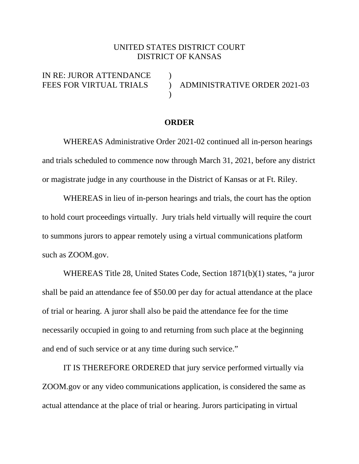## UNITED STATES DISTRICT COURT DISTRICT OF KANSAS

IN RE: JUROR ATTENDANCE  $\overline{\phantom{a}}$ 

FEES FOR VIRTUAL TRIALS ) ADMINISTRATIVE ORDER 2021-03

## **ORDER**

 WHEREAS Administrative Order 2021-02 continued all in-person hearings and trials scheduled to commence now through March 31, 2021, before any district or magistrate judge in any courthouse in the District of Kansas or at Ft. Riley.

 WHEREAS in lieu of in-person hearings and trials, the court has the option to hold court proceedings virtually. Jury trials held virtually will require the court to summons jurors to appear remotely using a virtual communications platform such as ZOOM.gov.

WHEREAS Title 28, United States Code, Section 1871(b)(1) states, "a juror shall be paid an attendance fee of \$50.00 per day for actual attendance at the place of trial or hearing. A juror shall also be paid the attendance fee for the time necessarily occupied in going to and returning from such place at the beginning and end of such service or at any time during such service."

 IT IS THEREFORE ORDERED that jury service performed virtually via ZOOM.gov or any video communications application, is considered the same as actual attendance at the place of trial or hearing. Jurors participating in virtual